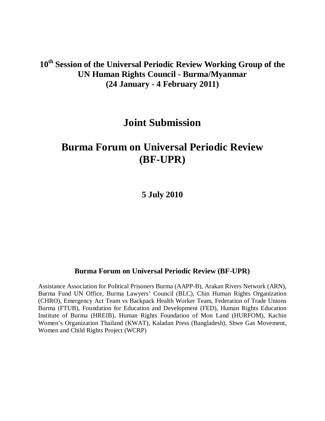**10th Session of the Universal Periodic Review Working Group of the UN Human Rights Council - Burma/Myanmar (24 January - 4 February 2011)**

## **Joint Submission**

# **Burma Forum on Universal Periodic Review (BF-UPR)**

**5 July 2010**

## **Burma Forum on Universal Periodic Review (BF-UPR)**

Assistance Association for Political Prisoners Burma (AAPP-B), Arakan Rivers Network (ARN), Burma Fund UN Office, Burma Lawyers' Council (BLC), Chin Human Rights Organization (CHRO), Emergency Act Team vs Backpack Health Worker Team, Federation of Trade Unions Burma (FTUB), Foundation for Education and Development (FED), Human Rights Education Institute of Burma (HREIB), Human Rights Foundation of Mon Land (HURFOM), Kachin Women's Organization Thailand (KWAT), Kaladan Press (Bangladesh), Shwe Gas Movement, Women and Child Rights Project (WCRP)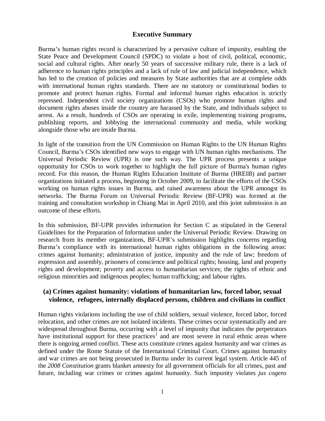## **Executive Summary**

Burma's human rights record is characterized by a pervasive culture of impunity, enabling the State Peace and Development Council (SPDC) to violate a host of civil, political, economic, social and cultural rights. After nearly 50 years of successive military rule, there is a lack of adherence to human rights principles and a lack of rule of law and judicial independence, which has led to the creation of policies and measures by State authorities that are at complete odds with international human rights standards. There are no statutory or constitutional bodies to promote and protect human rights. Formal and informal human rights education is strictly repressed. Independent civil society organizations (CSOs) who promote human rights and document rights abuses inside the country are harassed by the State, and individuals subject to arrest. As a result, hundreds of CSOs are operating in exile, implementing training programs, publishing reports, and lobbying the international community and media, while working alongside those who are inside Burma.

In light of the transition from the UN Commission on Human Rights to the UN Human Rights Council, Burma's CSOs identified new ways to engage with UN human rights mechanisms. The Universal Periodic Review (UPR) is one such way. The UPR process presents a unique opportunity for CSOs to work together to highlight the full picture of Burma's human rights record. For this reason, the Human Rights Education Institute of Burma (HREIB) and partner organizations initiated a process, beginning in October 2009, to facilitate the efforts of the CSOs working on human rights issues in Burma, and raised awareness about the UPR amongst its networks. The Burma Forum on Universal Periodic Review (BF-UPR) was formed at the training and consultation workshop in Chiang Mai in April 2010, and this joint submission is an outcome of these efforts.

In this submission, BF-UPR provides information for Section C as stipulated in the General Guidelines for the Preparation of Information under the Universal Periodic Review. Drawing on research from its member organizations, BF-UPR's submission highlights concerns regarding Burma's compliance with its international human rights obligations in the following areas: crimes against humanity; administration of justice, impunity and the rule of law; freedom of expression and assembly, prisoners of conscience and political rights; housing, land and property rights and development; poverty and access to humanitarian services; the rights of ethnic and religious minorities and indigenous peoples; human trafficking; and labour rights.

## **(a) Crimes against humanity: violations of humanitarian law, forced labor, sexual violence, refugees, internally displaced persons, children and civilians in conflict**

Human rights violations including the use of child soldiers, sexual violence, forced labor, forced relocation, and other crimes are not isolated incidents. These crimes occur systematically and are widespread throughout Burma, occurring with a level of impunity that indicates the perpetrators have institutional support for these practices<sup>[1](#page-11-0)</sup> and are most severe in rural ethnic areas where there is ongoing armed conflict. These acts constitute crimes against humanity and war crimes as defined under the Rome Statute of the International Criminal Court. Crimes against humanity and war crimes are not being prosecuted in Burma under its current legal system. Article 445 of the *2008 Constitution* grants blanket amnesty for all government officials for all crimes, past and future, including war crimes or crimes against humanity. Such impunity violates *jus cogens*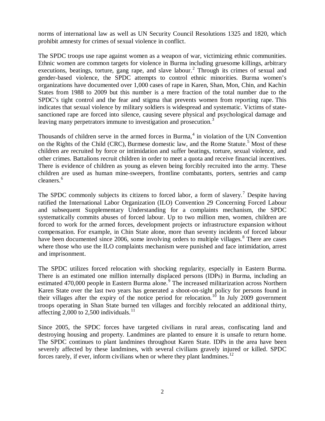norms of international law as well as UN Security Council Resolutions 1325 and 1820, which prohibit amnesty for crimes of sexual violence in conflict.

The SPDC troops use rape against women as a weapon of war, victimizing ethnic communities. Ethnic women are common targets for violence in Burma including gruesome killings, arbitrary executions, beatings, torture, gang rape, and slave labour.<sup>[2](#page-11-1)</sup> Through its crimes of sexual and gender-based violence, the SPDC attempts to control ethnic minorities. Burma women's organizations have documented over 1,000 cases of rape in Karen, Shan, Mon, Chin, and Kachin States from 1988 to 2009 but this number is a mere fraction of the total number due to the SPDC's tight control and the fear and stigma that prevents women from reporting rape. This indicates that sexual violence by military soldiers is widespread and systematic. Victims of statesanctioned rape are forced into silence, causing severe physical and psychological damage and leaving many perpetrators immune to investigation and prosecution.<sup>[3](#page-11-2)</sup>

Thousands of children serve in the armed forces in Burma, [4](#page-11-3) in violation of the UN Convention on the Rights of the Child (CRC), Burmese domestic law, and the Rome Statute.<sup>[5](#page-11-4)</sup> Most of these children are recruited by force or intimidation and suffer beatings, torture, sexual violence, and other crimes. Battalions recruit children in order to meet a quota and receive financial incentives. There is evidence of children as young as eleven being forcibly recruited into the army. These children are used as human mine-sweepers, frontline combatants, porters, sentries and camp cleaners.<sup>[6](#page-11-5)</sup>

The SPDC commonly subjects its citizens to forced labor, a form of slavery.<sup>[7](#page-11-6)</sup> Despite having ratified the International Labor Organization (ILO) Convention 29 Concerning Forced Labour and subsequent Supplementary Understanding for a complaints mechanism, the SPDC systematically commits abuses of forced labour. Up to two million men, women, children are forced to work for the armed forces, development projects or infrastructure expansion without compensation. For example, in Chin State alone, more than seventy incidents of forced labour have been documented since 2006, some involving orders to multiple villages.<sup>[8](#page-11-7)</sup> There are cases where those who use the ILO complaints mechanism were punished and face intimidation, arrest and imprisonment.

The SPDC utilizes forced relocation with shocking regularity, especially in Eastern Burma. There is an estimated one million internally displaced persons (IDPs) in Burma, including an estimated 470,000 people in Eastern Burma alone.<sup>[9](#page-11-8)</sup> The increased militarization across Northern Karen State over the last two years has generated a shoot-on-sight policy for persons found in their villages after the expiry of the notice period for relocation.<sup>[10](#page-11-9)</sup> In July 2009 government troops operating in Shan State burned ten villages and forcibly relocated an additional thirty, affecting 2,000 to 2,500 individuals.<sup>[11](#page-11-10)</sup>

Since 2005, the SPDC forces have targeted civilians in rural areas, confiscating land and destroying housing and property. Landmines are planted to ensure it is unsafe to return home. The SPDC continues to plant landmines throughout Karen State. IDPs in the area have been severely affected by these landmines, with several civilians gravely injured or killed. SPDC forces rarely, if ever, inform civilians when or where they plant landmines.<sup>[12](#page-11-11)</sup>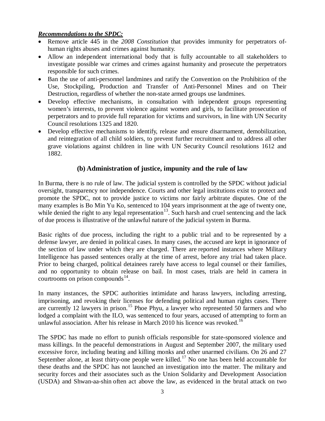## *Recommendations to the SPDC:*

- Remove article 445 in the *2008 Constitution* that provides immunity for perpetrators ofhuman rights abuses and crimes against humanity.
- Allow an independent international body that is fully accountable to all stakeholders to investigate possible war crimes and crimes against humanity and prosecute the perpetrators responsible for such crimes.
- Ban the use of anti-personnel landmines and ratify the Convention on the Prohibition of the Use, Stockpiling, Production and Transfer of Anti-Personnel Mines and on Their Destruction, regardless of whether the non-state armed groups use landmines.
- Develop effective mechanisms, in consultation with independent groups representing women's interests, to prevent violence against women and girls, to facilitate prosecution of perpetrators and to provide full reparation for victims and survivors, in line with UN Security Council resolutions 1325 and 1820.
- Develop effective mechanisms to identify, release and ensure disarmament, demobilization, and reintegration of all child soldiers, to prevent further recruitment and to address all other grave violations against children in line with UN Security Council resolutions 1612 and 1882.

## **(b) Administration of justice, impunity and the rule of law**

In Burma, there is no rule of law. The judicial system is controlled by the SPDC without judicial oversight, transparency nor independence. Courts and other legal institutions exist to protect and promote the SPDC, not to provide justice to victims nor fairly arbitrate disputes. One of the many examples is Bo Min Yu Ko, sentenced to 104 years imprisonment at the age of twenty one, while denied the right to any legal representation<sup>13</sup>. Such harsh and cruel sentencing and the lack of due process is illustrative of the unlawful nature of the judicial system in Burma.

Basic rights of due process, including the right to a public trial and to be represented by a defense lawyer, are denied in political cases. In many cases, the accused are kept in ignorance of the section of law under which they are charged. There are reported instances where Military Intelligence has passed sentences orally at the time of arrest, before any trial had taken place. Prior to being charged, political detainees rarely have access to legal counsel or their families, and no opportunity to obtain release on bail. In most cases, trials are held in camera in courtrooms on prison compounds $^{14}$ .

In many instances, the SPDC authorities intimidate and harass lawyers, including arresting, imprisoning, and revoking their licenses for defending political and human rights cases. There are currently 12 lawyers in prison.<sup>[15](#page-11-14)</sup> Phoe Phyu, a lawyer who represented 50 farmers and who lodged a complaint with the ILO, was sentenced to four years, accused of attempting to form an unlawful association. After his release in March 2010 his licence was revoked.<sup>[16](#page-11-15)</sup>

The SPDC has made no effort to punish officials responsible for state-sponsored violence and mass killings. In the peaceful demonstrations in August and September 2007, the military used excessive force, including beating and killing monks and other unarmed civilians. On 26 and 27 September alone, at least thirty-one people were killed.<sup>[17](#page-11-16)</sup> No one has been held accountable for these deaths and the SPDC has not launched an investigation into the matter. The military and security forces and their associates such as the Union Solidarity and Development Association (USDA) and Shwan-aa-shin often act above the law, as evidenced in the brutal attack on two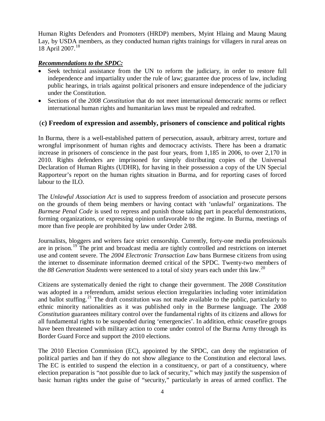Human Rights Defenders and Promoters (HRDP) members, Myint Hlaing and Maung Maung Lay, by USDA members, as they conducted human rights trainings for villagers in rural areas on 18 April 2007.[18](#page-11-17)

## *Recommendations to the SPDC:*

- Seek technical assistance from the UN to reform the judiciary, in order to restore full independence and impartiality under the rule of law; guarantee due process of law, including public hearings, in trials against political prisoners and ensure independence of the judiciary under the Constitution.
- Sections of the *2008 Constitution* that do not meet international democratic norms or reflect international human rights and humanitarian laws must be repealed and redrafted.

## (**c) Freedom of expression and assembly, prisoners of conscience and political rights**

In Burma, there is a well-established pattern of persecution, assault, arbitrary arrest, torture and wrongful imprisonment of human rights and democracy activists. There has been a dramatic increase in prisoners of conscience in the past four years, from 1,185 in 2006, to over 2,170 in 2010. Rights defenders are imprisoned for simply distributing copies of the Universal Declaration of Human Rights (UDHR), for having in their possession a copy of the UN Special Rapporteur's report on the human rights situation in Burma, and for reporting cases of forced labour to the ILO.

The *Unlawful Association Act* is used to suppress freedom of association and prosecute persons on the grounds of them being members or having contact with 'unlawful' organizations. The *Burmese Penal Code* is used to repress and punish those taking part in peaceful demonstrations, forming organizations, or expressing opinion unfavorable to the regime. In Burma, meetings of more than five people are prohibited by law under Order 2/88.

Journalists, bloggers and writers face strict censorship. Currently, forty-one media professionals are in prison.<sup>[19](#page-11-18)</sup> The print and broadcast media are tightly controlled and restrictions on internet use and content severe. The *2004 Electronic Transaction Law* bans Burmese citizens from using the internet to disseminate information deemed critical of the SPDC. Twenty-two members of the 88 Generation Students were sentenced to a total of sixty years each under this law.<sup>[20](#page-11-19)</sup>

Citizens are systematically denied the right to change their government. The *2008 Constitution* was adopted in a referendum, amidst serious election irregularities including voter intimidation and ballot stuffing.<sup>[21](#page-11-20)</sup> The draft constitution was not made available to the public, particularly to ethnic minority nationalities as it was published only in the Burmese language. The *2008 Constitution* guarantees military control over the fundamental rights of its citizens and allows for all fundamental rights to be suspended during 'emergencies'. In addition, ethnic ceasefire groups have been threatened with military action to come under control of the Burma Army through its Border Guard Force and support the 2010 elections.

The 2010 Election Commission (EC), appointed by the SPDC, can deny the registration of political parties and ban if they do not show allegiance to the Constitution and electoral laws. The EC is entitled to suspend the election in a constituency, or part of a constituency, where election preparation is "not possible due to lack of security," which may justify the suspension of basic human rights under the guise of "security," particularly in areas of armed conflict. The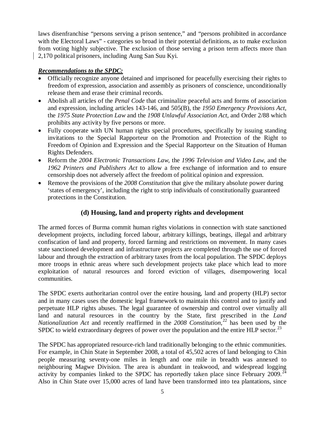laws disenfranchise "persons serving a prison sentence," and "persons prohibited in accordance with the Electoral Laws" - categories so broad in their potential definitions, as to make exclusion from voting highly subjective. The exclusion of those serving a prison term affects more than 2,170 political prisoners, including Aung San Suu Kyi.

## *Recommendations to the SPDC:*

- Officially recognize anyone detained and imprisoned for peacefully exercising their rights to freedom of expression, association and assembly as prisoners of conscience, unconditionally release them and erase their criminal records.
- Abolish all articles of the *Penal Code* that criminalize peaceful acts and forms of association and expression, including articles 143-146, and 505(B), the *1950 Emergency Provisions Act*, the *1975 State Protection Law* and the *1908 Unlawful Association Act*, and Order 2/88 which prohibits any activity by five persons or more.
- Fully cooperate with UN human rights special procedures, specifically by issuing standing invitations to the Special Rapporteur on the Promotion and Protection of the Right to Freedom of Opinion and Expression and the Special Rapporteur on the Situation of Human Rights Defenders.
- Reform the *2004 Electronic Transactions Law*, the *1996 Television and Video Law*, and the *1962 Printers and Publishers Act* to allow a free exchange of information and to ensure censorship does not adversely affect the freedom of political opinion and expression.
- Remove the provisions of the *2008 Constitution* that give the military absolute power during 'states of emergency', including the right to strip individuals of constitutionally guaranteed protections in the Constitution.

## **(d) Housing, land and property rights and development**

The armed forces of Burma commit human rights violations in connection with state sanctioned development projects, including forced labour, arbitrary killings, beatings, illegal and arbitrary confiscation of land and property, forced farming and restrictions on movement. In many cases state sanctioned development and infrastructure projects are completed through the use of forced labour and through the extraction of arbitrary taxes from the local population. The SPDC deploys more troops in ethnic areas where such development projects take place which lead to more exploitation of natural resources and forced eviction of villages, disempowering local communities.

The SPDC exerts authoritarian control over the entire housing, land and property (HLP) sector and in many cases uses the domestic legal framework to maintain this control and to justify and perpetuate HLP rights abuses. The legal guarantee of ownership and control over virtually all land and natural resources in the country by the State, first prescribed in the *Land Nationalization Act* and recently reaffirmed in the *2008 Constitution*, [22](#page-11-21) has been used by the SPDC to wield extraordinary degrees of power over the population and the entire HLP sector.<sup>[23](#page-11-22)</sup>

The SPDC has appropriated resource-rich land traditionally belonging to the ethnic communities. For example, in Chin State in September 2008, a total of 45,502 acres of land belonging to Chin people measuring seventy-one miles in length and one mile in breadth was annexed to neighbouring Magwe Division. The area is abundant in teakwood, and widespread logging activity by companies linked to the SPDC has reportedly taken place since February 2009.<sup>[24](#page-11-23)</sup> Also in Chin State over 15,000 acres of land have been transformed into tea plantations, since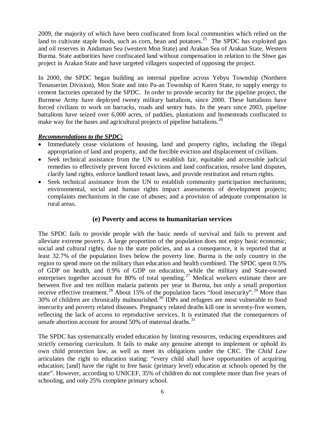2009, the majority of which have been confiscated from local communities which relied on the land to cultivate staple foods, such as corn, bean and potatoes.<sup>[25](#page-11-24)</sup> The SPDC has exploited gas and oil reserves in Andaman Sea (western Mon State) and Arakan Sea of Arakan State, Western Burma. State authorities have confiscated land without compensation in relation to the Shwe gas project in Arakan State and have targeted villagers suspected of opposing the project.

In 2000, the SPDC began building an internal pipeline across Yebyu Township (Northern Tenasserim Division), Mon State and into Pa-an Township of Karen State, to supply energy to cement factories operated by the SPDC. In order to provide security for the pipeline project, the Burmese Army have deployed twenty military battalions, since 2000. These battalions have forced civilians to work on barracks, roads and sentry huts. In the years since 2003, pipeline battalions have seized over 6,000 acres, of paddies, plantations and homesteads confiscated to make way for the bases and agricultural projects of pipeline battalions.<sup>[26](#page-12-0)</sup>

## *Recommendations to the SPDC:*

- Immediately cease violations of housing, land and property rights, including the illegal appropriation of land and property, and the forcible eviction and displacement of civilians.
- Seek technical assistance from the UN to establish fair, equitable and accessible judicial remedies to effectively prevent forced evictions and land confiscation, resolve land disputes, clarify land rights, enforce landlord tenant laws, and provide restitution and return rights.
- Seek technical assistance from the UN to establish community participation mechanisms; environmental, social and human rights impact assessments of development projects; complaints mechanisms in the case of abuses; and a provision of adequate compensation in rural areas.

## **(e) Poverty and access to humanitarian services**

The SPDC fails to provide people with the basic needs of survival and fails to prevent and alleviate extreme poverty. A large proportion of the population does not enjoy basic economic, social and cultural rights, due to the state policies, and as a consequence, it is reported that at least 32.7% of the population lives below the poverty line. Burma is the only country in the region to spend more on the military than education and health combined. The SPDC spent 0.5% of GDP on health, and 0.9% of GDP on education, while the military and State-owned enterprises together account for 80% of total spending.<sup>[27](#page-12-1)</sup> Medical workers estimate there are between five and ten million malaria patients per year in Burma, but only a small proportion receive effective treatment.<sup>[28](#page-12-2)</sup> About 15% of the population faces "food insecurity".<sup>[29](#page-12-3)</sup> More than 30% of children are chronically malnourished.[30](#page-12-4) IDPs and refugees are most vulnerable to food insecurity and poverty related diseases. Pregnancy related deaths kill one in seventy-five women, reflecting the lack of access to reproductive services. It is estimated that the consequences of unsafe abortion account for around 50% of maternal deaths.<sup>[31](#page-12-5)</sup>

The SPDC has systematically eroded education by limiting resources, reducing expenditures and strictly censoring curriculum. It fails to make any genuine attempt to implement or uphold its own child protection law, as well as meet its obligations under the CRC. The *Child Law* articulates the right to education stating: "every child shall have opportunities of acquiring education; [and] have the right to free basic (primary level) education at schools opened by the state". However, according to UNICEF, 35% of children do not complete more than five years of schooling, and only 25% complete primary school.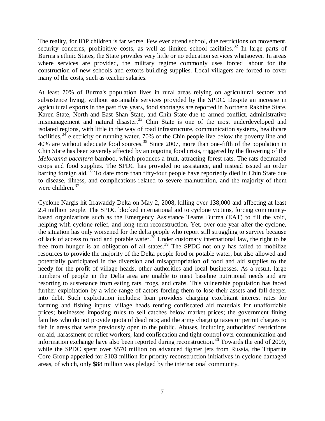The reality, for IDP children is far worse. Few ever attend school, due restrictions on movement, security concerns, prohibitive costs, as well as limited school facilities.<sup>[32](#page-12-6)</sup> In large parts of Burma's ethnic States, the State provides very little or no education services whatsoever. In areas where services are provided, the military regime commonly uses forced labour for the construction of new schools and extorts building supplies. Local villagers are forced to cover many of the costs, such as teacher salaries.

At least 70% of Burma's population lives in rural areas relying on agricultural sectors and subsistence living, without sustainable services provided by the SPDC. Despite an increase in agricultural exports in the past five years, food shortages are reported in Northern Rakhine State, Karen State, North and East Shan State, and Chin State due to armed conflict, administrative mismanagement and natural disaster.<sup>[33](#page-12-7)</sup> Chin State is one of the most underdeveloped and isolated regions, with little in the way of road infrastructure, communication systems, healthcare facilities,  $34$  electricity or running water. 70% of the Chin people live below the poverty line and 40% are without adequate food sources.<sup>[35](#page-12-9)</sup> Since 2007, more than one-fifth of the population in Chin State has been severely affected by an ongoing food crisis, triggered by the flowering of the *Melocanna baccifera* bamboo, which produces a fruit, attracting forest rats. The rats decimated crops and food supplies. The SPDC has provided no assistance, and instead issued an order barring foreign aid.<sup>[36](#page-12-10)</sup> To date more than fifty-four people have reportedly died in Chin State due to disease, illness, and complications related to severe malnutrition, and the majority of them were children.<sup>[37](#page-12-11)</sup>

Cyclone Nargis hit Irrawaddy Delta on May 2, 2008, killing over 138,000 and affecting at least 2.4 million people. The SPDC blocked international aid to cyclone victims, forcing communitybased organizations such as the Emergency Assistance Teams Burma (EAT) to fill the void, helping with cyclone relief, and long-term reconstruction. Yet, over one year after the cyclone, the situation has only worsened for the delta people who report still struggling to survive because of lack of access to food and potable water.<sup>[38](#page-12-12)</sup> Under customary international law, the right to be free from hunger is an obligation of all states.<sup>[39](#page-12-13)</sup> The SPDC not only has failed to mobilize resources to provide the majority of the Delta people food or potable water, but also allowed and potentially participated in the diversion and misappropriation of food and aid supplies to the needy for the profit of village heads, other authorities and local businesses. As a result, large numbers of people in the Delta area are unable to meet baseline nutritional needs and are resorting to sustenance from eating rats, frogs, and crabs. This vulnerable population has faced further exploitation by a wide range of actors forcing them to lose their assets and fall deeper into debt. Such exploitation includes: loan providers charging exorbitant interest rates for farming and fishing inputs; village heads renting confiscated aid materials for unaffordable prices; businesses imposing rules to sell catches below market prices; the government fining families who do not provide quota of dead rats; and the army charging taxes or permit charges to fish in areas that were previously open to the public. Abuses, including authorities' restrictions on aid, harassment of relief workers, land confiscation and tight control over communication and information exchange have also been reported during reconstruction.<sup>[40](#page-12-14)</sup> Towards the end of 2009, while the SPDC spent over \$570 million on advanced fighter jets from Russia, the Tripartite Core Group appealed for \$103 million for priority reconstruction initiatives in cyclone damaged areas, of which, only \$88 million was pledged by the international community.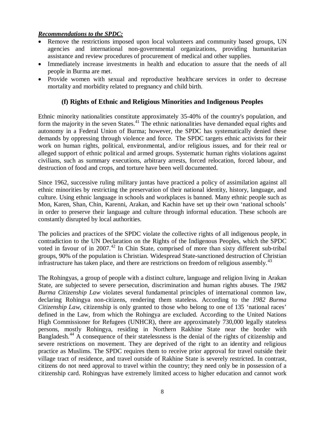### *Recommendations to the SPDC:*

- Remove the restrictions imposed upon local volunteers and community based groups, UN agencies and international non-governmental organizations, providing humanitarian assistance and review procedures of procurement of medical and other supplies.
- Immediately increase investments in health and education to assure that the needs of all people in Burma are met.
- Provide women with sexual and reproductive healthcare services in order to decrease mortality and morbidity related to pregnancy and child birth.

## **(f) Rights of Ethnic and Religious Minorities and Indigenous Peoples**

Ethnic minority nationalities constitute approximately 35-40% of the country's population, and form the majority in the seven States.<sup>[41](#page-12-15)</sup> The ethnic nationalities have demanded equal rights and autonomy in a Federal Union of Burma; however, the SPDC has systematically denied these demands by oppressing through violence and force. The SPDC targets ethnic activists for their work on human rights, political, environmental, and/or religious issues, and for their real or alleged support of ethnic political and armed groups. Systematic human rights violations against civilians, such as summary executions, arbitrary arrests, forced relocation, forced labour, and destruction of food and crops, and torture have been well documented.

Since 1962, successive ruling military juntas have practiced a policy of assimilation against all ethnic minorities by restricting the preservation of their national identity, history, language, and culture. Using ethnic language in schools and workplaces is banned. Many ethnic people such as Mon, Karen, Shan, Chin, Karenni, Arakan, and Kachin have set up their own 'national schools' in order to preserve their language and culture through informal education. These schools are constantly disrupted by local authorities.

The policies and practices of the SPDC violate the collective rights of all indigenous people, in contradiction to the UN Declaration on the Rights of the Indigenous Peoples, which the SPDC voted in favour of in 2007.<sup>[42](#page-12-16)</sup> In Chin State, comprised of more than sixty different sub-tribal groups, 90% of the population is Christian. Widespread State-sanctioned destruction of Christian infrastructure has taken place, and there are restrictions on freedom of religious assembly.<sup>[43](#page-12-17)</sup>

The Rohingyas, a group of people with a distinct culture, language and religion living in Arakan State, are subjected to severe persecution, discrimination and human rights abuses. The *1982 Burma Citizenship Law* violates several fundamental principles of international common law, declaring Rohingya non-citizens, rendering them stateless. According to the *1982 Burma Citizenship Law*, citizenship is only granted to those who belong to one of 135 'national races' defined in the Law, from which the Rohingya are excluded. According to the United Nations High Commissioner for Refugees (UNHCR), there are approximately 730,000 legally stateless persons, mostly Rohingya, residing in Northern Rakhine State near the border with Bangladesh.<sup>[44](#page-12-18)</sup> A consequence of their statelessness is the denial of the rights of citizenship and severe restrictions on movement. They are deprived of the right to an identity and religious practice as Muslims. The SPDC requires them to receive prior approval for travel outside their village tract of residence, and travel outside of Rakhine State is severely restricted. In contrast, citizens do not need approval to travel within the country; they need only be in possession of a citizenship card. Rohingyas have extremely limited access to higher education and cannot work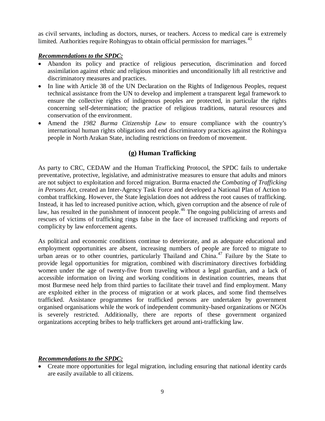as civil servants, including as doctors, nurses, or teachers. Access to medical care is extremely limited. Authorities require Rohingyas to obtain official permission for marriages.<sup>[45](#page-12-19)</sup>

#### *Recommendations to the SPDC:*

- Abandon its policy and practice of religious persecution, discrimination and forced assimilation against ethnic and religious minorities and unconditionally lift all restrictive and discriminatory measures and practices.
- In line with Article 38 of the UN Declaration on the Rights of Indigenous Peoples, request technical assistance from the UN to develop and implement a transparent legal framework to ensure the collective rights of indigenous peoples are protected, in particular the rights concerning self-determination; the practice of religious traditions, natural resources and conservation of the environment.
- Amend the *1982 Burma Citizenship Law* to ensure compliance with the country's international human rights obligations and end discriminatory practices against the Rohingya people in North Arakan State, including restrictions on freedom of movement.

## **(g) Human Trafficking**

As party to CRC, CEDAW and the Human Trafficking Protocol, the SPDC fails to undertake preventative, protective, legislative, and administrative measures to ensure that adults and minors are not subject to exploitation and forced migration. Burma enacted *the Combating of Trafficking in Persons Act*, created an Inter-Agency Task Force and developed a National Plan of Action to combat trafficking. However, the State legislation does not address the root causes of trafficking. Instead, it has led to increased punitive action, which, given corruption and the absence of rule of law, has resulted in the punishment of innocent people.<sup>[46](#page-12-20)</sup> The ongoing publicizing of arrests and rescues of victims of trafficking rings false in the face of increased trafficking and reports of complicity by law enforcement agents.

As political and economic conditions continue to deteriorate, and as adequate educational and employment opportunities are absent, increasing numbers of people are forced to migrate to urban areas or to other countries, particularly Thailand and China.<sup>[47](#page-12-21)</sup> Failure by the State to provide legal opportunities for migration, combined with discriminatory directives forbidding women under the age of twenty-five from traveling without a legal guardian, and a lack of accessible information on living and working conditions in destination countries, means that most Burmese need help from third parties to facilitate their travel and find employment. Many are exploited either in the process of migration or at work places, and some find themselves trafficked. Assistance programmes for trafficked persons are undertaken by government organised organisations while the work of independent community-based organizations or NGOs is severely restricted. Additionally, there are reports of these government organized organizations accepting bribes to help traffickers get around anti-trafficking law.

## *Recommendations to the SPDC:*

• Create more opportunities for legal migration, including ensuring that national identity cards are easily available to all citizens.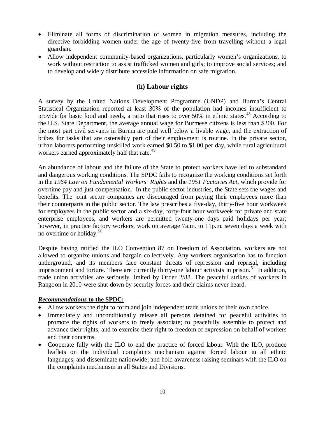- Eliminate all forms of discrimination of women in migration measures, including the directive forbidding women under the age of twenty-five from travelling without a legal guardian.
- Allow independent community-based organizations, particularly women's organizations, to work without restriction to assist trafficked women and girls; to improve social services; and to develop and widely distribute accessible information on safe migration.

## **(h) Labour rights**

A survey by the United Nations Development Programme (UNDP) and Burma's Central Statistical Organization reported at least 30% of the population had incomes insufficient to provide for basic food and needs, a ratio that rises to over  $50\%$  in ethnic states.<sup>[48](#page-12-22)</sup> According to the U.S. State Department, the average annual wage for Burmese citizens is less than \$200. For the most part civil servants in Burma are paid well below a livable wage, and the extraction of bribes for tasks that are ostensibly part of their employment is routine. In the private sector, urban laborers performing unskilled work earned \$0.50 to \$1.00 per day, while rural agricultural workers earned approximately half that rate.<sup>[49](#page-12-23)</sup>

An abundance of labour and the failure of the State to protect workers have led to substandard and dangerous working conditions. The SPDC fails to recognize the working conditions set forth in the *1964 Law on Fundamental Workers' Rights* and the *1951 Factories Act*, which provide for overtime pay and just compensation. In the public sector industries, the State sets the wages and benefits. The joint sector companies are discouraged from paying their employees more than their counterparts in the public sector. The law prescribes a five-day, thirty-five hour workweek for employees in the public sector and a six-day, forty-four hour workweek for private and state enterprise employees, and workers are permitted twenty-one days paid holidays per year; however, in practice factory workers, work on average 7a.m. to 11p.m. seven days a week with no overtime or holiday.<sup>[50](#page-12-24)</sup>

Despite having ratified the ILO Convention 87 on Freedom of Association, workers are not allowed to organize unions and bargain collectively. Any workers organisation has to function underground, and its members face constant threats of repression and reprisal, including imprisonment and torture. There are currently thirty-one labour activists in prison.<sup>[51](#page-12-25)</sup> In addition, trade union activities are seriously limited by Order 2/88. The peaceful strikes of workers in Rangoon in 2010 were shut down by security forces and their claims never heard.

## *Recommendations* **to the SPDC:**

- Allow workers the right to form and join independent trade unions of their own choice.
- Immediately and unconditionally release all persons detained for peaceful activities to promote the rights of workers to freely associate; to peacefully assemble to protect and advance their rights; and to exercise their right to freedom of expression on behalf of workers and their concerns.
- Cooperate fully with the ILO to end the practice of forced labour. With the ILO, produce leaflets on the individual complaints mechanism against forced labour in all ethnic languages, and disseminate nationwide; and hold awareness raising seminars with the ILO on the complaints mechanism in all States and Divisions.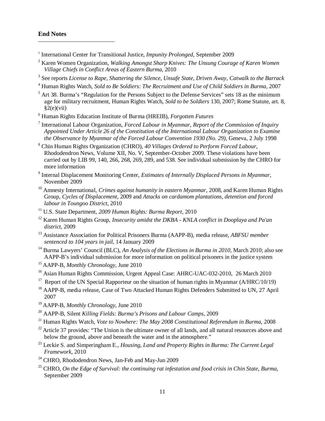$\overline{\phantom{0}}$ 

- <span id="page-11-0"></span><sup>1</sup> International Center for Transitional Justice, *Impunity Prolonged*, September 2009
- <span id="page-11-1"></span><sup>2</sup> Karen Women Organization, *Walking Amongst Sharp Knives: The Unsung Courage of Karen Women Village Chiefs in Conflict Areas of Eastern Burma*, 2010
- <span id="page-11-2"></span><sup>3</sup> See reports *License to Rape*, *Shattering the Silence*, *Unsafe State*, *Driven Away*, *Catwalk to the Barrack*
- <span id="page-11-3"></span><sup>4</sup> Human Rights Watch, *Sold to Be Soldiers: The Recruitment and Use of Child Soldiers in Burma,* 2007
- <span id="page-11-4"></span> $<sup>5</sup>$  Art 38. Burma's "Regulation for the Persons Subject to the Defense Services" sets 18 as the minimum</sup> age for military recruitment, Human Rights Watch, *Sold to be Soldiers* 130, 2007; Rome Statute, art. 8,  $§2(e)(vii)$
- <span id="page-11-5"></span><sup>6</sup> Human Rights Education Institute of Burma (HREIB), *Forgotten Futures*
- <span id="page-11-6"></span><sup>7</sup> International Labour Organization, *Forced Labour in Myanmar, Report of the Commission of Inquiry Appointed Under Article 26 of the Constitution of the International Labour Organization to Examine the Observance by Myanmar of the Forced Labour Convention 1930 (No. 29),* Geneva, 2 July 1998
- <span id="page-11-7"></span><sup>8</sup> Chin Human Rights Organization (CHRO), *40 Villages Ordered to Perform Forced Labour*, Rhododendron News, Volume XII, No. V, September-October 2009. These violations have been carried out by LIB 99, 140, 266, 268, 269, 289, and 538. See individual submission by the CHRO for more information
- <span id="page-11-8"></span><sup>9</sup> Internal Displacement Monitoring Center, *Estimates of Internally Displaced Persons in Myanmar*, November 2009
- <span id="page-11-9"></span><sup>10</sup> Amnesty International, *Crimes against humanity in eastern Myanmar*, 2008, and Karen Human Rights Group, *Cycles of Displacement*, 2009 and *Attacks on cardamom plantations, detention and forced labour in Toungoo District*, 2010
- <span id="page-11-10"></span><sup>11</sup> U.S. State Department, *2009 Human Rights: Burma Report*, 2010
- <span id="page-11-11"></span><sup>12</sup> Karen Human Rights Group, *Insecurity amidst the DKBA - KNLA conflict in Dooplaya and Pa'an district*, 2009
- <span id="page-11-12"></span><sup>13</sup> Assistance Association for Political Prisoners Burma (AAPP-B), media release, *ABFSU member sentenced to 104 years in jail*, 14 January 2009
- <span id="page-11-13"></span><sup>14</sup> Burma Lawyers' Council (BLC), *An Analysis of the Elections in Burma in 2010*, March 2010; also see AAPP-B's individual submission for more information on political prisoners in the justice system
- <span id="page-11-14"></span><sup>15</sup> AAPP-B, *Monthly Chronology*, June 2010
- <span id="page-11-15"></span><sup>16</sup> Asian Human Rights Commission, Urgent Appeal Case: AHRC-UAC-032-2010, 26 March 2010
- <span id="page-11-16"></span><sup>17</sup> Report of the UN Special Rapporteur on the situation of human rights in Myanmar ( $A/HRC/10/19$ )
- <span id="page-11-17"></span><sup>18</sup> AAPP-B, media release, [Case of Two Attacked Human Rights Defenders Submitted to UN,](http://www.aappb.org/release85.html) 27 April 2007
- <span id="page-11-18"></span><sup>19</sup> AAPP-B, *Monthly Chronology*, June 2010
- <span id="page-11-19"></span><sup>20</sup> AAPP-B, Silent *Killing Fields: Burma's Prisons and Labour Camps*, 2009
- <span id="page-11-20"></span><sup>21</sup> Human Rights Watch, *[Vote to Nowhere:](http://www.hrw.org/en/reports/2008/04/30/vote-nowhere-0) The May 2008 Constitutional Referendum in Burma,* 2008
- <span id="page-11-21"></span> $22$  Article 37 provides: "The Union is the ultimate owner of all lands, and all natural resources above and below the ground, above and beneath the water and in the atmosphere."
- <span id="page-11-22"></span><sup>23</sup> Leckie S. and Simperingham E., *Housing, Land and Property Rights in Burma: The Current Legal Framework*, 2010
- <span id="page-11-23"></span><sup>24</sup> CHRO, Rhododendron News, Jan-Feb and May-Jun 2009
- <span id="page-11-24"></span><sup>25</sup> CHRO, *On the Edge of Survival: the continuing rat infestation and food crisis in Chin State, Burma*, September 2009